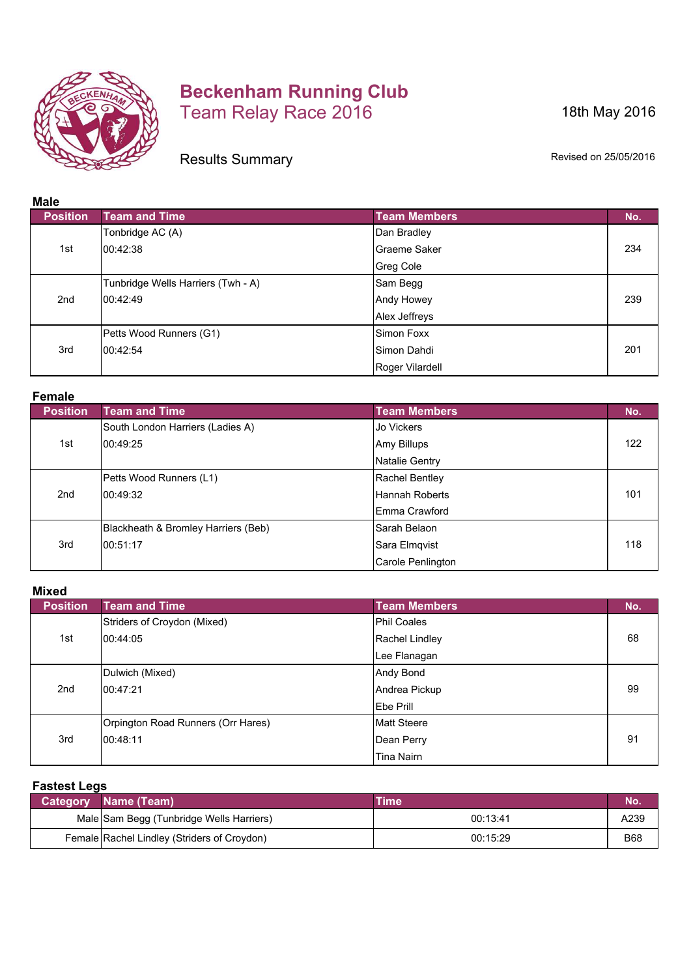

## **Beckenham Running Club** Team Relay Race 2016

18th May 2016

Results Summary

Revised on 25/05/2016

| Mais            |                                    |                     |     |
|-----------------|------------------------------------|---------------------|-----|
| <b>Position</b> | <b>Team and Time</b>               | <b>Team Members</b> | No. |
|                 | Tonbridge AC (A)                   | Dan Bradley         |     |
| 1st             | 00:42:38                           | Graeme Saker        | 234 |
|                 |                                    | <b>Greg Cole</b>    |     |
|                 | Tunbridge Wells Harriers (Twh - A) | Sam Begg            |     |
| 2nd             | 00:42:49                           | Andy Howey          | 239 |
|                 |                                    | Alex Jeffreys       |     |
|                 | Petts Wood Runners (G1)            | Simon Foxx          |     |
| 3rd             | 00:42:54                           | Simon Dahdi         | 201 |
|                 |                                    | Roger Vilardell     |     |

**Female**

| <b>Position</b> | <b>Team and Time</b>                | <b>Team Members</b>   | No. |
|-----------------|-------------------------------------|-----------------------|-----|
|                 | South London Harriers (Ladies A)    | Jo Vickers            |     |
| 1st             | 00:49:25                            | Amy Billups           | 122 |
|                 |                                     | <b>Natalie Gentry</b> |     |
| 2 <sub>nd</sub> | Petts Wood Runners (L1)             | Rachel Bentley        |     |
|                 | 00:49:32                            | <b>Hannah Roberts</b> | 101 |
|                 |                                     | Emma Crawford         |     |
| 3rd             | Blackheath & Bromley Harriers (Beb) | Sarah Belaon          |     |
|                 | 00:51:17                            | Sara Elmqvist         | 118 |
|                 |                                     | Carole Penlington     |     |

**Mixed**

| IIIAVU          |                                    |                     |     |
|-----------------|------------------------------------|---------------------|-----|
| <b>Position</b> | <b>Team and Time</b>               | <b>Team Members</b> | No. |
|                 | Striders of Croydon (Mixed)        | <b>Phil Coales</b>  |     |
| 1st             | 00:44:05                           | Rachel Lindley      | 68  |
|                 |                                    | Lee Flanagan        |     |
|                 | Dulwich (Mixed)                    | Andy Bond           |     |
| 2nd             | 00:47:21                           | Andrea Pickup       | 99  |
|                 |                                    | Ebe Prill           |     |
|                 | Orpington Road Runners (Orr Hares) | <b>Matt Steere</b>  |     |
| 3rd             | 00:48:11                           | Dean Perry          | 91  |
|                 |                                    | Tina Nairn          |     |

## **Fastest Legs**

| Category Name (Team)                        | Time     | No.        |
|---------------------------------------------|----------|------------|
| Male Sam Begg (Tunbridge Wells Harriers)    | 00:13:41 | A239       |
| Female Rachel Lindley (Striders of Croydon) | 00:15:29 | <b>B68</b> |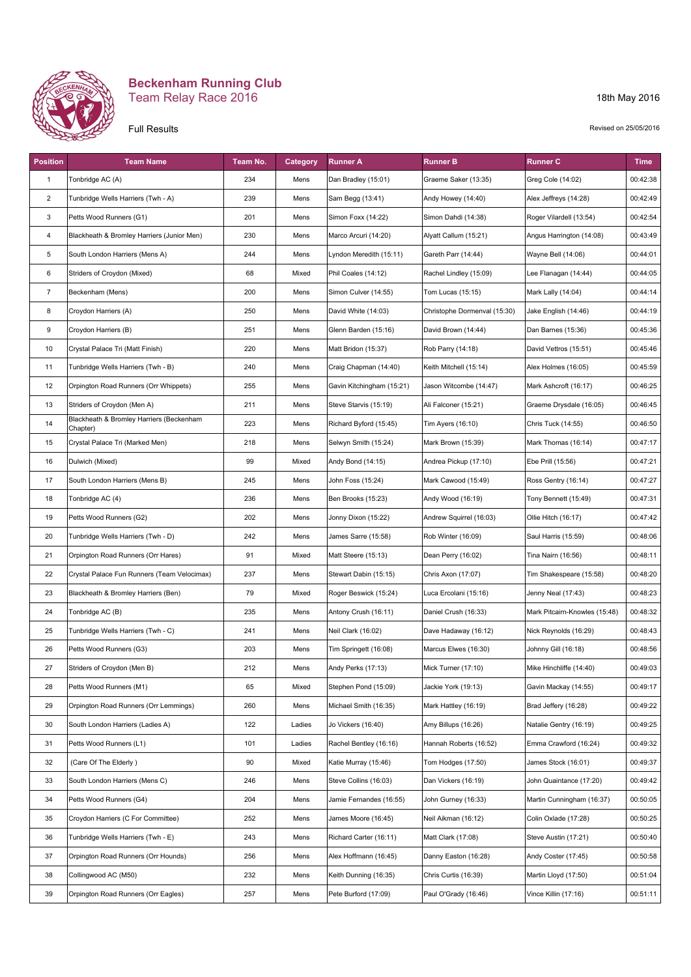

## **Beckenham Running Club** Team Relay Race 2016

## Full Results

18th May 2016

Revised on 25/05/2016

| <b>Position</b> | <b>Team Name</b>                                     | Team No. | <b>Category</b> | <b>Runner A</b>           | Runner B                     | Runner C                      | <b>Time</b> |
|-----------------|------------------------------------------------------|----------|-----------------|---------------------------|------------------------------|-------------------------------|-------------|
| 1               | Tonbridge AC (A)                                     | 234      | Mens            | Dan Bradley (15:01)       | Graeme Saker (13:35)         | Greg Cole (14:02)             | 00:42:38    |
| $\overline{2}$  | Tunbridge Wells Harriers (Twh - A)                   | 239      | Mens            | Sam Begg (13:41)          | Andy Howey (14:40)           | Alex Jeffreys (14:28)         | 00:42:49    |
| 3               | Petts Wood Runners (G1)                              | 201      | Mens            | Simon Foxx (14:22)        | Simon Dahdi (14:38)          | Roger Vilardell (13:54)       | 00:42:54    |
| 4               | Blackheath & Bromley Harriers (Junior Men)           | 230      | Mens            | Marco Arcuri (14:20)      | Alyatt Callum (15:21)        | Angus Harrington (14:08)      | 00:43:49    |
| 5               | South London Harriers (Mens A)                       | 244      | Mens            | Lyndon Meredith (15:11)   | Gareth Parr (14:44)          | Wayne Bell (14:06)            | 00:44:01    |
| 6               | Striders of Croydon (Mixed)                          | 68       | Mixed           | Phil Coales (14:12)       | Rachel Lindley (15:09)       | Lee Flanagan (14:44)          | 00:44:05    |
| $\overline{7}$  | Beckenham (Mens)                                     | 200      | Mens            | Simon Culver (14:55)      | Tom Lucas (15:15)            | Mark Lally (14:04)            | 00:44:14    |
| 8               | Croydon Harriers (A)                                 | 250      | Mens            | David White (14:03)       | Christophe Dormenval (15:30) | Jake English (14:46)          | 00:44:19    |
| 9               | Croydon Harriers (B)                                 | 251      | Mens            | Glenn Barden (15:16)      | David Brown (14:44)          | Dan Barnes (15:36)            | 00:45:36    |
| 10              | Crystal Palace Tri (Matt Finish)                     | 220      | Mens            | Matt Bridon (15:37)       | Rob Parry (14:18)            | David Vettros (15:51)         | 00:45:46    |
| 11              | Tunbridge Wells Harriers (Twh - B)                   | 240      | Mens            | Craig Chapman (14:40)     | Keith Mitchell (15:14)       | Alex Holmes (16:05)           | 00:45:59    |
| 12              | Orpington Road Runners (Orr Whippets)                | 255      | Mens            | Gavin Kitchingham (15:21) | Jason Witcombe (14:47)       | Mark Ashcroft (16:17)         | 00:46:25    |
| 13              | Striders of Croydon (Men A)                          | 211      | Mens            | Steve Starvis (15:19)     | Ali Falconer (15:21)         | Graeme Drysdale (16:05)       | 00:46:45    |
| 14              | Blackheath & Bromley Harriers (Beckenham<br>Chapter) | 223      | Mens            | Richard Byford (15:45)    | Tim Ayers (16:10)            | Chris Tuck (14:55)            | 00:46:50    |
| 15              | Crystal Palace Tri (Marked Men)                      | 218      | Mens            | Selwyn Smith (15:24)      | Mark Brown (15:39)           | Mark Thomas (16:14)           | 00:47:17    |
| 16              | Dulwich (Mixed)                                      | 99       | Mixed           | Andy Bond (14:15)         | Andrea Pickup (17:10)        | Ebe Prill (15:56)             | 00:47:21    |
| 17              | South London Harriers (Mens B)                       | 245      | Mens            | John Foss (15:24)         | Mark Cawood (15:49)          | Ross Gentry (16:14)           | 00:47:27    |
| 18              | Tonbridge AC (4)                                     | 236      | Mens            | Ben Brooks (15:23)        | Andy Wood (16:19)            | Tony Bennett (15:49)          | 00:47:31    |
| 19              | Petts Wood Runners (G2)                              | 202      | Mens            | Jonny Dixon (15:22)       | Andrew Squirrel (16:03)      | Ollie Hitch (16:17)           | 00:47:42    |
| 20              | Tunbridge Wells Harriers (Twh - D)                   | 242      | Mens            | James Sarre (15:58)       | Rob Winter (16:09)           | Saul Harris (15:59)           | 00:48:06    |
| 21              | Orpington Road Runners (Orr Hares)                   | 91       | Mixed           | Matt Steere (15:13)       | Dean Perry (16:02)           | Tina Nairn (16:56)            | 00:48:11    |
| 22              | Crystal Palace Fun Runners (Team Velocimax)          | 237      | Mens            | Stewart Dabin (15:15)     | Chris Axon (17:07)           | Tim Shakespeare (15:58)       | 00:48:20    |
| 23              | Blackheath & Bromley Harriers (Ben)                  | 79       | Mixed           | Roger Beswick (15:24)     | Luca Ercolani (15:16)        | Jenny Neal (17:43)            | 00:48:23    |
| 24              | Tonbridge AC (B)                                     | 235      | Mens            | Antony Crush (16:11)      | Daniel Crush (16:33)         | Mark Pitcairn-Knowles (15:48) | 00:48:32    |
| 25              | Tunbridge Wells Harriers (Twh - C)                   | 241      | Mens            | Neil Clark (16:02)        | Dave Hadaway (16:12)         | Nick Reynolds (16:29)         | 00:48:43    |
| 26              | Petts Wood Runners (G3)                              | 203      | Mens            | Tim Springett (16:08)     | Marcus Elwes (16:30)         | Johnny Gill (16:18)           | 00:48:56    |
| 27              | Striders of Croydon (Men B)                          | 212      | Mens            | Andy Perks (17:13)        | Mick Turner (17:10)          | Mike Hinchliffe (14:40)       | 00:49:03    |
| 28              | Petts Wood Runners (M1)                              | 65       | Mixed           | Stephen Pond (15:09)      | Jackie York (19:13)          | Gavin Mackay (14:55)          | 00:49:17    |
| 29              | Orpington Road Runners (Orr Lemmings)                | 260      | Mens            | Michael Smith (16:35)     | Mark Hattley (16:19)         | Brad Jeffery (16:28)          | 00:49:22    |
| 30              | South London Harriers (Ladies A)                     | 122      | Ladies          | Jo Vickers (16:40)        | Amy Billups (16:26)          | Natalie Gentry (16:19)        | 00:49:25    |
| 31              | Petts Wood Runners (L1)                              | 101      | Ladies          | Rachel Bentley (16:16)    | Hannah Roberts (16:52)       | Emma Crawford (16:24)         | 00:49:32    |
| 32              | (Care Of The Elderly)                                | 90       | Mixed           | Katie Murray (15:46)      | Tom Hodges (17:50)           | James Stock (16:01)           | 00:49:37    |
| 33              | South London Harriers (Mens C)                       | 246      | Mens            | Steve Collins (16:03)     | Dan Vickers (16:19)          | John Quaintance (17:20)       | 00:49:42    |
| 34              | Petts Wood Runners (G4)                              | 204      | Mens            | Jamie Fernandes (16:55)   | John Gurney (16:33)          | Martin Cunningham (16:37)     | 00:50:05    |
| 35              | Croydon Harriers (C For Committee)                   | 252      | Mens            | James Moore (16:45)       | Neil Aikman (16:12)          | Colin Oxlade (17:28)          | 00:50:25    |
| 36              | Tunbridge Wells Harriers (Twh - E)                   | 243      | Mens            | Richard Carter (16:11)    | Matt Clark (17:08)           | Steve Austin (17:21)          | 00:50:40    |
| 37              | Orpington Road Runners (Orr Hounds)                  | 256      | Mens            | Alex Hoffmann (16:45)     | Danny Easton (16:28)         | Andy Coster (17:45)           | 00:50:58    |
| 38              | Collingwood AC (M50)                                 | 232      | Mens            | Keith Dunning (16:35)     | Chris Curtis (16:39)         | Martin Lloyd (17:50)          | 00:51:04    |
| 39              | Orpington Road Runners (Orr Eagles)                  | 257      | Mens            | Pete Burford (17:09)      | Paul O'Grady (16:46)         | Vince Killin (17:16)          | 00:51:11    |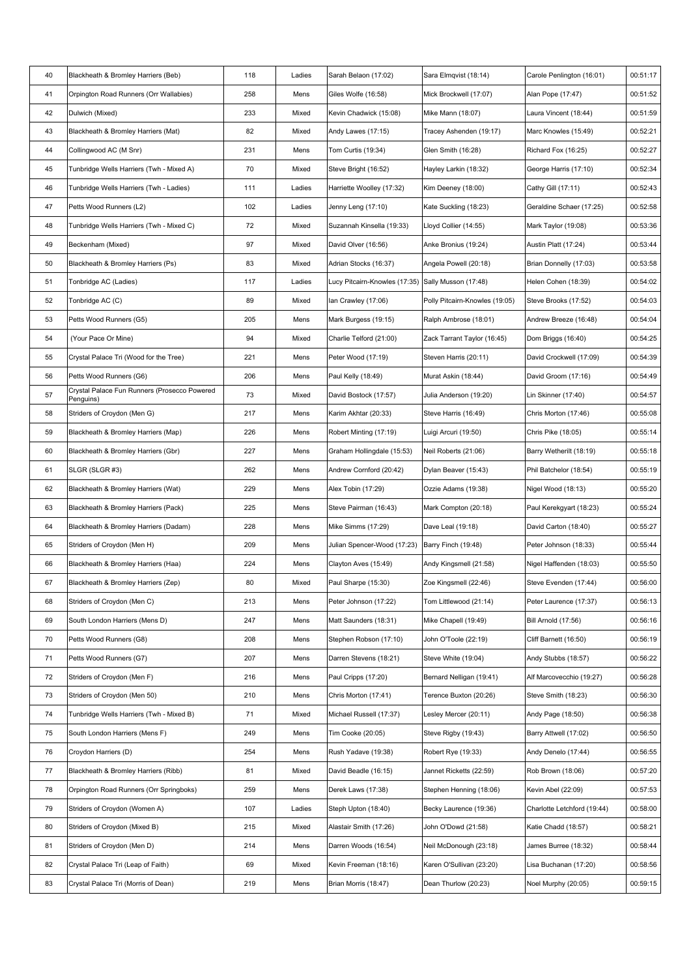| 40 | Blackheath & Bromley Harriers (Beb)                       | 118 | Ladies | Sarah Belaon (17:02)          | Sara Elmqvist (18:14)          | Carole Penlington (16:01)   | 00:51:17 |
|----|-----------------------------------------------------------|-----|--------|-------------------------------|--------------------------------|-----------------------------|----------|
| 41 | Orpington Road Runners (Orr Wallabies)                    | 258 | Mens   | Giles Wolfe (16:58)           | Mick Brockwell (17:07)         | Alan Pope (17:47)           | 00:51:52 |
| 42 | Dulwich (Mixed)                                           | 233 | Mixed  | Kevin Chadwick (15:08)        | Mike Mann (18:07)              | Laura Vincent (18:44)       | 00:51:59 |
| 43 | Blackheath & Bromley Harriers (Mat)                       | 82  | Mixed  | Andy Lawes (17:15)            | Tracey Ashenden (19:17)        | Marc Knowles (15:49)        | 00:52:21 |
| 44 | Collingwood AC (M Snr)                                    | 231 | Mens   | Tom Curtis (19:34)            | Glen Smith (16:28)             | Richard Fox (16:25)         | 00:52:27 |
| 45 | Tunbridge Wells Harriers (Twh - Mixed A)                  | 70  | Mixed  | Steve Bright (16:52)          | Hayley Larkin (18:32)          | George Harris (17:10)       | 00:52:34 |
| 46 | Tunbridge Wells Harriers (Twh - Ladies)                   | 111 | Ladies | Harriette Woolley (17:32)     | Kim Deeney (18:00)             | Cathy Gill (17:11)          | 00:52:43 |
| 47 | Petts Wood Runners (L2)                                   | 102 | Ladies | Jenny Leng (17:10)            | Kate Suckling (18:23)          | Geraldine Schaer (17:25)    | 00:52:58 |
| 48 | Tunbridge Wells Harriers (Twh - Mixed C)                  | 72  | Mixed  | Suzannah Kinsella (19:33)     | Lloyd Collier (14:55)          | Mark Taylor (19:08)         | 00:53:36 |
| 49 | Beckenham (Mixed)                                         | 97  | Mixed  | David Olver (16:56)           | Anke Bronius (19:24)           | Austin Platt (17:24)        | 00:53:44 |
| 50 | Blackheath & Bromley Harriers (Ps)                        | 83  | Mixed  | Adrian Stocks (16:37)         | Angela Powell (20:18)          | Brian Donnelly (17:03)      | 00:53:58 |
| 51 | Tonbridge AC (Ladies)                                     | 117 | Ladies | Lucy Pitcairn-Knowles (17:35) | Sally Musson (17:48)           | Helen Cohen (18:39)         | 00:54:02 |
| 52 | Tonbridge AC (C)                                          | 89  | Mixed  | lan Crawley (17:06)           | Polly Pitcairn-Knowles (19:05) | Steve Brooks (17:52)        | 00:54:03 |
| 53 | Petts Wood Runners (G5)                                   | 205 | Mens   | Mark Burgess (19:15)          | Ralph Ambrose (18:01)          | Andrew Breeze (16:48)       | 00:54:04 |
| 54 | (Your Pace Or Mine)                                       | 94  | Mixed  | Charlie Telford (21:00)       | Zack Tarrant Taylor (16:45)    | Dom Briggs (16:40)          | 00:54:25 |
| 55 | Crystal Palace Tri (Wood for the Tree)                    | 221 | Mens   | Peter Wood (17:19)            | Steven Harris (20:11)          | David Crockwell (17:09)     | 00:54:39 |
| 56 | Petts Wood Runners (G6)                                   | 206 | Mens   | Paul Kelly (18:49)            | Murat Askin (18:44)            | David Groom (17:16)         | 00:54:49 |
| 57 | Crystal Palace Fun Runners (Prosecco Powered<br>Penguins) | 73  | Mixed  | David Bostock (17:57)         | Julia Anderson (19:20)         | Lin Skinner (17:40)         | 00:54:57 |
| 58 | Striders of Croydon (Men G)                               | 217 | Mens   | Karim Akhtar (20:33)          | Steve Harris (16:49)           | Chris Morton (17:46)        | 00:55:08 |
| 59 | Blackheath & Bromley Harriers (Map)                       | 226 | Mens   | Robert Minting (17:19)        | Luigi Arcuri (19:50)           | Chris Pike (18:05)          | 00:55:14 |
| 60 | Blackheath & Bromley Harriers (Gbr)                       | 227 | Mens   | Graham Hollingdale (15:53)    | Neil Roberts (21:06)           | Barry Wetherilt (18:19)     | 00:55:18 |
| 61 | SLGR (SLGR #3)                                            | 262 | Mens   | Andrew Cornford (20:42)       | Dylan Beaver (15:43)           | Phil Batchelor (18:54)      | 00:55:19 |
| 62 | Blackheath & Bromley Harriers (Wat)                       | 229 | Mens   | Alex Tobin (17:29)            | Ozzie Adams (19:38)            | Nigel Wood (18:13)          | 00:55:20 |
| 63 | Blackheath & Bromley Harriers (Pack)                      | 225 | Mens   | Steve Pairman (16:43)         | Mark Compton (20:18)           | Paul Kerekgyart (18:23)     | 00:55:24 |
| 64 | Blackheath & Bromley Harriers (Dadam)                     | 228 | Mens   | Mike Simms (17:29)            | Dave Leal (19:18)              | David Carton (18:40)        | 00:55:27 |
| 65 | Striders of Croydon (Men H)                               | 209 | Mens   | Julian Spencer-Wood (17:23)   | Barry Finch (19:48)            | Peter Johnson (18:33)       | 00:55:44 |
| 66 | Blackheath & Bromley Harriers (Haa)                       | 224 | Mens   | Clayton Aves (15:49)          | Andy Kingsmell (21:58)         | Nigel Haffenden (18:03)     | 00:55:50 |
| 67 | Blackheath & Bromley Harriers (Zep)                       | 80  | Mixed  | Paul Sharpe (15:30)           | Zoe Kingsmell (22:46)          | Steve Evenden (17:44)       | 00:56:00 |
| 68 | Striders of Croydon (Men C)                               | 213 | Mens   | Peter Johnson (17:22)         | Tom Littlewood (21:14)         | Peter Laurence (17:37)      | 00:56:13 |
| 69 | South London Harriers (Mens D)                            | 247 | Mens   | Matt Saunders (18:31)         | Mike Chapell (19:49)           | Bill Arnold (17:56)         | 00:56:16 |
| 70 | Petts Wood Runners (G8)                                   | 208 | Mens   | Stephen Robson (17:10)        | John O'Toole (22:19)           | Cliff Barnett (16:50)       | 00:56:19 |
| 71 | Petts Wood Runners (G7)                                   | 207 | Mens   | Darren Stevens (18:21)        | Steve White (19:04)            | Andy Stubbs (18:57)         | 00:56:22 |
| 72 | Striders of Croydon (Men F)                               | 216 | Mens   | Paul Cripps (17:20)           | Bernard Nelligan (19:41)       | Alf Marcovecchio (19:27)    | 00:56:28 |
| 73 | Striders of Croydon (Men 50)                              | 210 | Mens   | Chris Morton (17:41)          | Terence Buxton (20:26)         | Steve Smith (18:23)         | 00:56:30 |
| 74 | Tunbridge Wells Harriers (Twh - Mixed B)                  | 71  | Mixed  | Michael Russell (17:37)       | Lesley Mercer (20:11)          | Andy Page (18:50)           | 00:56:38 |
| 75 | South London Harriers (Mens F)                            | 249 | Mens   | Tim Cooke (20:05)             | Steve Rigby (19:43)            | Barry Attwell (17:02)       | 00:56:50 |
| 76 | Croydon Harriers (D)                                      | 254 | Mens   | Rush Yadave (19:38)           | Robert Rye (19:33)             | Andy Denelo (17:44)         | 00:56:55 |
| 77 | Blackheath & Bromley Harriers (Ribb)                      | 81  | Mixed  | David Beadle (16:15)          | Jannet Ricketts (22:59)        | Rob Brown (18:06)           | 00:57:20 |
| 78 | Orpington Road Runners (Orr Springboks)                   | 259 | Mens   | Derek Laws (17:38)            | Stephen Henning (18:06)        | Kevin Abel (22:09)          | 00:57:53 |
| 79 | Striders of Croydon (Women A)                             | 107 | Ladies | Steph Upton (18:40)           | Becky Laurence (19:36)         | Charlotte Letchford (19:44) | 00:58:00 |
| 80 | Striders of Croydon (Mixed B)                             | 215 | Mixed  | Alastair Smith (17:26)        | John O'Dowd (21:58)            | Katie Chadd (18:57)         | 00:58:21 |
| 81 | Striders of Croydon (Men D)                               | 214 | Mens   | Darren Woods (16:54)          | Neil McDonough (23:18)         | James Burree (18:32)        | 00:58:44 |
| 82 | Crystal Palace Tri (Leap of Faith)                        | 69  | Mixed  | Kevin Freeman (18:16)         | Karen O'Sullivan (23:20)       | Lisa Buchanan (17:20)       | 00:58:56 |
| 83 | Crystal Palace Tri (Morris of Dean)                       | 219 | Mens   | Brian Morris (18:47)          | Dean Thurlow (20:23)           | Noel Murphy (20:05)         | 00:59:15 |